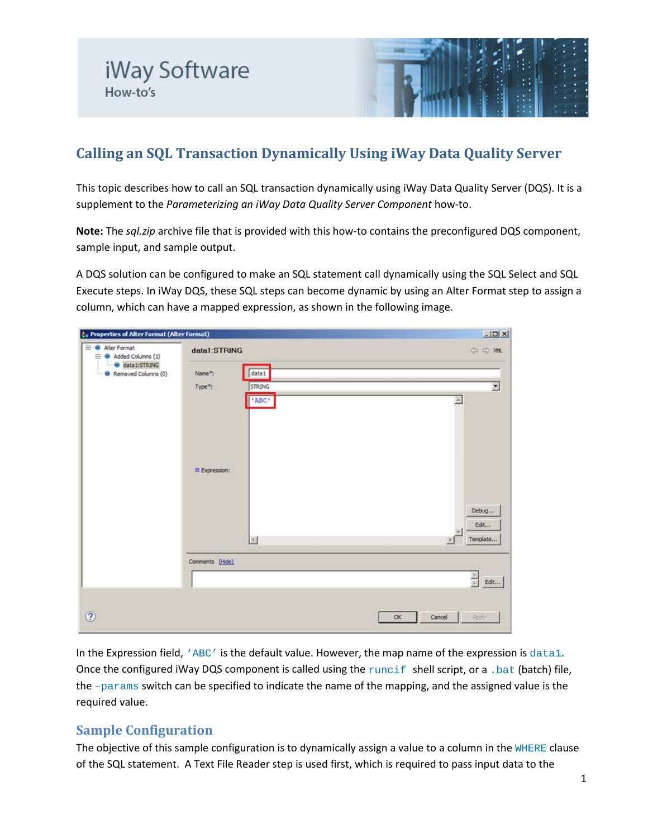# **Calling an SQL Transaction Dynamically Using iWay Data Quality Server**

This topic describes how to call an SQL transaction dynamically using iWay Data Quality Server (DQS). It is a supplement to the *Parameterizing an iWay Data Quality Server Component* how-to.

**Note:** The *sql.zip* archive file that is provided with this how-to contains the preconfigured DQS component, sample input, and sample output.

A DQS solution can be configured to make an SQL statement call dynamically using the SQL Select and SQL Execute steps. In iWay DQS, these SQL steps can become dynamic by using an Alter Format step to assign a column, which can have a mapped expression, as shown in the following image.

| te Properties of Alter Format (Alter Format)      |                                                          | $\Box$ D $ X $                          |
|---------------------------------------------------|----------------------------------------------------------|-----------------------------------------|
| Alter Format<br>$\Theta$<br>(1) Added Columns (1) | data1:STRING                                             | $\Leftrightarrow$ $\Leftrightarrow$ XHL |
| data1:STRING<br>Removed Columns (0)               | data1<br>Name":<br>Type":<br>STRING<br>"ABC"             | $\sim$                                  |
|                                                   | <b>El Expression:</b>                                    | Debug<br>Edit                           |
|                                                   | $\left\vert \mathcal{G}\right\rangle$<br>Comments (Hide) | Template<br>粥<br>$\frac{1}{x}$<br>Edit  |
| $\circledR$                                       |                                                          | Cancel<br>OK<br>Apply.                  |

In the Expression field, 'ABC' is the default value. However, the map name of the expression is data1. Once the configured iWay DQS component is called using the runcif shell script, or a .bat (batch) file, the  $-params$  switch can be specified to indicate the name of the mapping, and the assigned value is the required value.

### **Sample Configuration**

The objective of this sample configuration is to dynamically assign a value to a column in the WHERE clause of the SQL statement. A Text File Reader step is used first, which is required to pass input data to the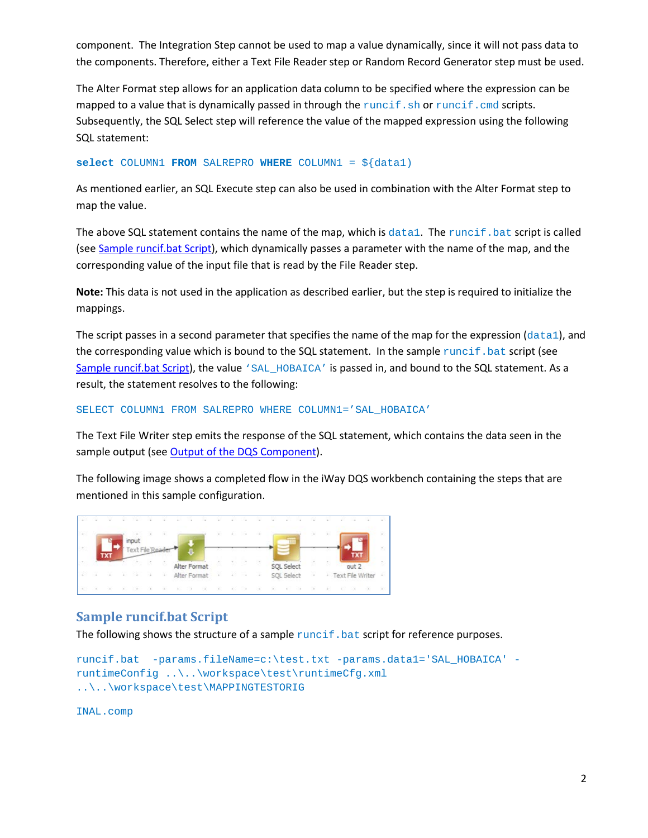component. The Integration Step cannot be used to map a value dynamically, since it will not pass data to the components. Therefore, either a Text File Reader step or Random Record Generator step must be used.

The Alter Format step allows for an application data column to be specified where the expression can be mapped to a value that is dynamically passed in through the runcif.sh or runcif.cmd scripts. Subsequently, the SQL Select step will reference the value of the mapped expression using the following SQL statement:

**select** COLUMN1 **FROM** SALREPRO **WHERE** COLUMN1 = \${data1)

As mentioned earlier, an SQL Execute step can also be used in combination with the Alter Format step to map the value.

The above SQL statement contains the name of the map, which is data1. The runcif. bat script is called (see [Sample runcif.bat Script\)](#page-1-0), which dynamically passes a parameter with the name of the map, and the corresponding value of the input file that is read by the File Reader step.

**Note:** This data is not used in the application as described earlier, but the step is required to initialize the mappings.

The script passes in a second parameter that specifies the name of the map for the expression ( $data1$ ), and the corresponding value which is bound to the SQL statement. In the sample runcif. bat script (see [Sample runcif.bat Script\)](#page-1-0), the value 'SAL\_HOBAICA' is passed in, and bound to the SQL statement. As a result, the statement resolves to the following:

SELECT COLUMN1 FROM SALREPRO WHERE COLUMN1='SAL\_HOBAICA'

The Text File Writer step emits the response of the SQL statement, which contains the data seen in the sample output (se[e Output of the DQS Component\)](#page-2-0).

The following image shows a completed flow in the iWay DQS workbench containing the steps that are mentioned in this sample configuration.



#### <span id="page-1-0"></span>**Sample runcif.bat Script**

The following shows the structure of a sample  $\text{runcti}$ . bat script for reference purposes.

```
runcif.bat -params.fileName=c:\test.txt -params.data1='SAL_HOBAICA' -
runtimeConfig ..\..\workspace\test\runtimeCfg.xml 
..\..\workspace\test\MAPPINGTESTORIG
```
INAL.comp